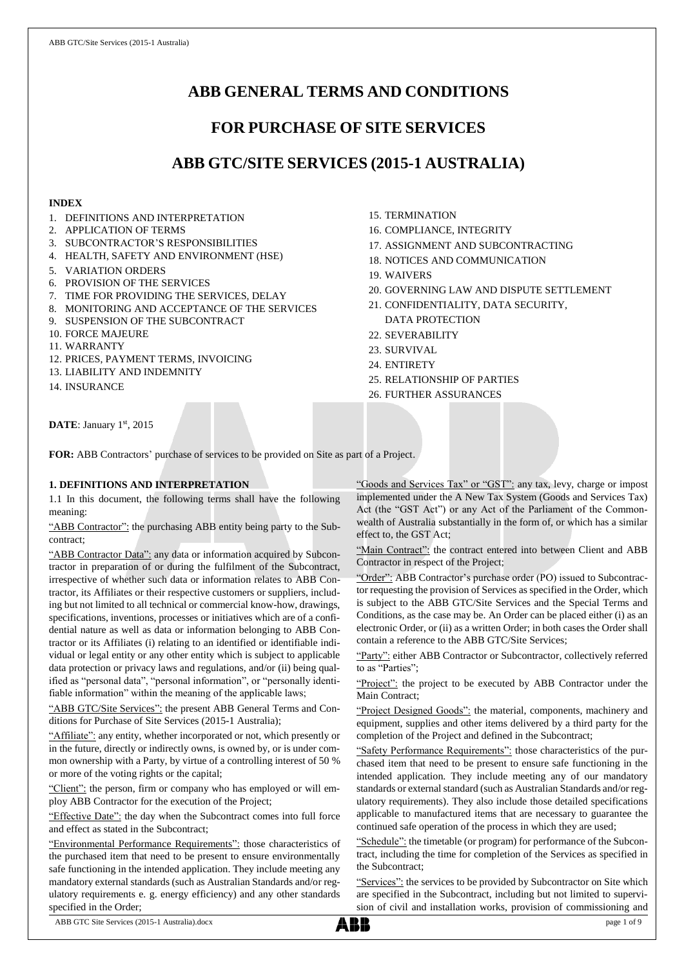# **ABB GENERAL TERMS AND CONDITIONS**

# **FOR PURCHASE OF SITE SERVICES**

# **ABB GTC/SITE SERVICES (2015-1 AUSTRALIA)**

## **INDEX**

- 1. DEFINITIONS AND INTERPRETATION
- 2. APPLICATION OF TERMS
- 3. SUBCONTRACTOR'S RESPONSIBILITIES
- 4. HEALTH, SAFETY AND ENVIRONMENT (HSE)
- 5. VARIATION ORDERS
- 6. PROVISION OF THE SERVICES
- 7. TIME FOR PROVIDING THE SERVICES, DELAY
- 8. MONITORING AND ACCEPTANCE OF THE SERVICES
- 9. SUSPENSION OF THE SUBCONTRACT
- 10. FORCE MAJEURE
- 11. WARRANTY
- 12. PRICES, PAYMENT TERMS, INVOICING
- 13. LIABILITY AND INDEMNITY
- 14. INSURANCE
- 15. TERMINATION
- 16. COMPLIANCE, INTEGRITY
- 17. ASSIGNMENT AND SUBCONTRACTING
- 18. NOTICES AND COMMUNICATION
- 19. WAIVERS
- 20. GOVERNING LAW AND DISPUTE SETTLEMENT
- 21. CONFIDENTIALITY, DATA SECURITY, DATA PROTECTION
- 22. SEVERABILITY
- 23. SURVIVAL
- 24. ENTIRETY
- 25. RELATIONSHIP OF PARTIES
- 26. FURTHER ASSURANCES

**DATE**: January 1st, 2015

**FOR:** ABB Contractors' purchase of services to be provided on Site as part of a Project.

# **1. DEFINITIONS AND INTERPRETATION**

1.1 In this document, the following terms shall have the following meaning:

"ABB Contractor": the purchasing ABB entity being party to the Subcontract;

"ABB Contractor Data": any data or information acquired by Subcontractor in preparation of or during the fulfilment of the Subcontract, irrespective of whether such data or information relates to ABB Contractor, its Affiliates or their respective customers or suppliers, including but not limited to all technical or commercial know-how, drawings, specifications, inventions, processes or initiatives which are of a confidential nature as well as data or information belonging to ABB Contractor or its Affiliates (i) relating to an identified or identifiable individual or legal entity or any other entity which is subject to applicable data protection or privacy laws and regulations, and/or (ii) being qualified as "personal data", "personal information", or "personally identifiable information" within the meaning of the applicable laws;

"ABB GTC/Site Services": the present ABB General Terms and Conditions for Purchase of Site Services (2015-1 Australia);

"Affiliate": any entity, whether incorporated or not, which presently or in the future, directly or indirectly owns, is owned by, or is under common ownership with a Party, by virtue of a controlling interest of 50 % or more of the voting rights or the capital;

"Client": the person, firm or company who has employed or will employ ABB Contractor for the execution of the Project;

"Effective Date": the day when the Subcontract comes into full force and effect as stated in the Subcontract;

"Environmental Performance Requirements": those characteristics of the purchased item that need to be present to ensure environmentally safe functioning in the intended application. They include meeting any mandatory external standards (such as Australian Standards and/or regulatory requirements e. g. energy efficiency) and any other standards specified in the Order;

"Goods and Services Tax" or "GST": any tax, levy, charge or impost implemented under the A New Tax System (Goods and Services Tax) Act (the "GST Act") or any Act of the Parliament of the Commonwealth of Australia substantially in the form of, or which has a similar effect to, the GST Act;

"Main Contract": the contract entered into between Client and ABB Contractor in respect of the Project;

"Order": ABB Contractor's purchase order (PO) issued to Subcontractor requesting the provision of Services as specified in the Order, which is subject to the ABB GTC/Site Services and the Special Terms and Conditions, as the case may be. An Order can be placed either (i) as an electronic Order, or (ii) as a written Order; in both cases the Order shall contain a reference to the ABB GTC/Site Services;

"Party": either ABB Contractor or Subcontractor, collectively referred to as "Parties";

"Project": the project to be executed by ABB Contractor under the Main Contract;

"Project Designed Goods": the material, components, machinery and equipment, supplies and other items delivered by a third party for the completion of the Project and defined in the Subcontract;

"Safety Performance Requirements": those characteristics of the purchased item that need to be present to ensure safe functioning in the intended application. They include meeting any of our mandatory standards or external standard (such as Australian Standards and/or regulatory requirements). They also include those detailed specifications applicable to manufactured items that are necessary to guarantee the continued safe operation of the process in which they are used;

"Schedule": the timetable (or program) for performance of the Subcontract, including the time for completion of the Services as specified in the Subcontract;

"Services": the services to be provided by Subcontractor on Site which are specified in the Subcontract, including but not limited to supervision of civil and installation works, provision of commissioning and

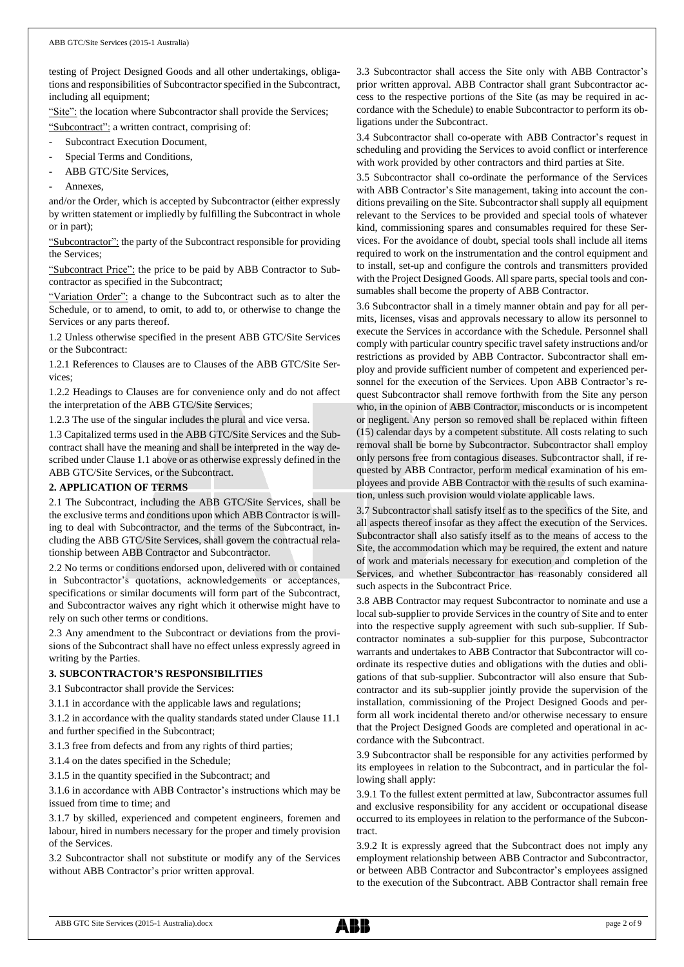testing of Project Designed Goods and all other undertakings, obligations and responsibilities of Subcontractor specified in the Subcontract, including all equipment;

"Site": the location where Subcontractor shall provide the Services; "Subcontract": a written contract, comprising of:

- Subcontract Execution Document,
- Special Terms and Conditions,
- ABB GTC/Site Services,
- Annexes.

and/or the Order, which is accepted by Subcontractor (either expressly by written statement or impliedly by fulfilling the Subcontract in whole or in part);

"Subcontractor": the party of the Subcontract responsible for providing the Services;

"Subcontract Price": the price to be paid by ABB Contractor to Subcontractor as specified in the Subcontract;

"Variation Order": a change to the Subcontract such as to alter the Schedule, or to amend, to omit, to add to, or otherwise to change the Services or any parts thereof.

1.2 Unless otherwise specified in the present ABB GTC/Site Services or the Subcontract:

1.2.1 References to Clauses are to Clauses of the ABB GTC/Site Services;

1.2.2 Headings to Clauses are for convenience only and do not affect the interpretation of the ABB GTC/Site Services;

1.2.3 The use of the singular includes the plural and vice versa.

1.3 Capitalized terms used in the ABB GTC/Site Services and the Subcontract shall have the meaning and shall be interpreted in the way described under Clause 1.1 above or as otherwise expressly defined in the ABB GTC/Site Services, or the Subcontract.

## **2. APPLICATION OF TERMS**

2.1 The Subcontract, including the ABB GTC/Site Services, shall be the exclusive terms and conditions upon which ABB Contractor is willing to deal with Subcontractor, and the terms of the Subcontract, including the ABB GTC/Site Services, shall govern the contractual relationship between ABB Contractor and Subcontractor.

2.2 No terms or conditions endorsed upon, delivered with or contained in Subcontractor's quotations, acknowledgements or acceptances, specifications or similar documents will form part of the Subcontract, and Subcontractor waives any right which it otherwise might have to rely on such other terms or conditions.

2.3 Any amendment to the Subcontract or deviations from the provisions of the Subcontract shall have no effect unless expressly agreed in writing by the Parties.

# **3. SUBCONTRACTOR'S RESPONSIBILITIES**

3.1 Subcontractor shall provide the Services:

3.1.1 in accordance with the applicable laws and regulations;

3.1.2 in accordance with the quality standards stated under Clause 11.1 and further specified in the Subcontract;

3.1.3 free from defects and from any rights of third parties;

3.1.4 on the dates specified in the Schedule;

3.1.5 in the quantity specified in the Subcontract; and

3.1.6 in accordance with ABB Contractor's instructions which may be issued from time to time; and

3.1.7 by skilled, experienced and competent engineers, foremen and labour, hired in numbers necessary for the proper and timely provision of the Services.

3.2 Subcontractor shall not substitute or modify any of the Services without ABB Contractor's prior written approval.

3.3 Subcontractor shall access the Site only with ABB Contractor's prior written approval. ABB Contractor shall grant Subcontractor access to the respective portions of the Site (as may be required in accordance with the Schedule) to enable Subcontractor to perform its obligations under the Subcontract.

3.4 Subcontractor shall co-operate with ABB Contractor's request in scheduling and providing the Services to avoid conflict or interference with work provided by other contractors and third parties at Site.

3.5 Subcontractor shall co-ordinate the performance of the Services with ABB Contractor's Site management, taking into account the conditions prevailing on the Site. Subcontractor shall supply all equipment relevant to the Services to be provided and special tools of whatever kind, commissioning spares and consumables required for these Services. For the avoidance of doubt, special tools shall include all items required to work on the instrumentation and the control equipment and to install, set-up and configure the controls and transmitters provided with the Project Designed Goods. All spare parts, special tools and consumables shall become the property of ABB Contractor.

3.6 Subcontractor shall in a timely manner obtain and pay for all permits, licenses, visas and approvals necessary to allow its personnel to execute the Services in accordance with the Schedule. Personnel shall comply with particular country specific travel safety instructions and/or restrictions as provided by ABB Contractor. Subcontractor shall employ and provide sufficient number of competent and experienced personnel for the execution of the Services. Upon ABB Contractor's request Subcontractor shall remove forthwith from the Site any person who, in the opinion of ABB Contractor, misconducts or is incompetent or negligent. Any person so removed shall be replaced within fifteen (15) calendar days by a competent substitute. All costs relating to such removal shall be borne by Subcontractor. Subcontractor shall employ only persons free from contagious diseases. Subcontractor shall, if requested by ABB Contractor, perform medical examination of his employees and provide ABB Contractor with the results of such examination, unless such provision would violate applicable laws.

3.7 Subcontractor shall satisfy itself as to the specifics of the Site, and all aspects thereof insofar as they affect the execution of the Services. Subcontractor shall also satisfy itself as to the means of access to the Site, the accommodation which may be required, the extent and nature of work and materials necessary for execution and completion of the Services, and whether Subcontractor has reasonably considered all such aspects in the Subcontract Price.

3.8 ABB Contractor may request Subcontractor to nominate and use a local sub-supplier to provide Services in the country of Site and to enter into the respective supply agreement with such sub-supplier. If Subcontractor nominates a sub-supplier for this purpose, Subcontractor warrants and undertakes to ABB Contractor that Subcontractor will coordinate its respective duties and obligations with the duties and obligations of that sub-supplier. Subcontractor will also ensure that Subcontractor and its sub-supplier jointly provide the supervision of the installation, commissioning of the Project Designed Goods and perform all work incidental thereto and/or otherwise necessary to ensure that the Project Designed Goods are completed and operational in accordance with the Subcontract.

3.9 Subcontractor shall be responsible for any activities performed by its employees in relation to the Subcontract, and in particular the following shall apply:

3.9.1 To the fullest extent permitted at law, Subcontractor assumes full and exclusive responsibility for any accident or occupational disease occurred to its employees in relation to the performance of the Subcontract.

3.9.2 It is expressly agreed that the Subcontract does not imply any employment relationship between ABB Contractor and Subcontractor, or between ABB Contractor and Subcontractor's employees assigned to the execution of the Subcontract. ABB Contractor shall remain free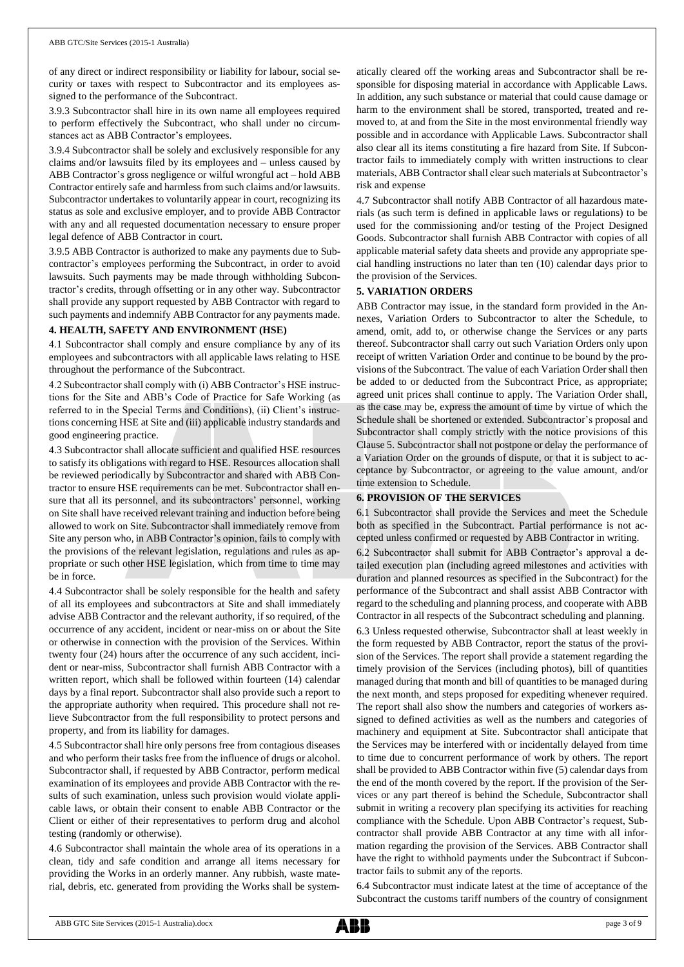of any direct or indirect responsibility or liability for labour, social security or taxes with respect to Subcontractor and its employees assigned to the performance of the Subcontract.

3.9.3 Subcontractor shall hire in its own name all employees required to perform effectively the Subcontract, who shall under no circumstances act as ABB Contractor's employees.

3.9.4 Subcontractor shall be solely and exclusively responsible for any claims and/or lawsuits filed by its employees and – unless caused by ABB Contractor's gross negligence or wilful wrongful act – hold ABB Contractor entirely safe and harmless from such claims and/or lawsuits. Subcontractor undertakes to voluntarily appear in court, recognizing its status as sole and exclusive employer, and to provide ABB Contractor with any and all requested documentation necessary to ensure proper legal defence of ABB Contractor in court.

3.9.5 ABB Contractor is authorized to make any payments due to Subcontractor's employees performing the Subcontract, in order to avoid lawsuits. Such payments may be made through withholding Subcontractor's credits, through offsetting or in any other way. Subcontractor shall provide any support requested by ABB Contractor with regard to such payments and indemnify ABB Contractor for any payments made.

#### **4. HEALTH, SAFETY AND ENVIRONMENT (HSE)**

4.1 Subcontractor shall comply and ensure compliance by any of its employees and subcontractors with all applicable laws relating to HSE throughout the performance of the Subcontract.

4.2 Subcontractor shall comply with (i) ABB Contractor's HSE instructions for the Site and ABB's Code of Practice for Safe Working (as referred to in the Special Terms and Conditions), (ii) Client's instructions concerning HSE at Site and (iii) applicable industry standards and good engineering practice.

4.3 Subcontractor shall allocate sufficient and qualified HSE resources to satisfy its obligations with regard to HSE. Resources allocation shall be reviewed periodically by Subcontractor and shared with ABB Contractor to ensure HSE requirements can be met. Subcontractor shall ensure that all its personnel, and its subcontractors' personnel, working on Site shall have received relevant training and induction before being allowed to work on Site. Subcontractor shall immediately remove from Site any person who, in ABB Contractor's opinion, fails to comply with the provisions of the relevant legislation, regulations and rules as appropriate or such other HSE legislation, which from time to time may be in force.

4.4 Subcontractor shall be solely responsible for the health and safety of all its employees and subcontractors at Site and shall immediately advise ABB Contractor and the relevant authority, if so required, of the occurrence of any accident, incident or near-miss on or about the Site or otherwise in connection with the provision of the Services. Within twenty four (24) hours after the occurrence of any such accident, incident or near-miss, Subcontractor shall furnish ABB Contractor with a written report, which shall be followed within fourteen (14) calendar days by a final report. Subcontractor shall also provide such a report to the appropriate authority when required. This procedure shall not relieve Subcontractor from the full responsibility to protect persons and property, and from its liability for damages.

4.5 Subcontractor shall hire only persons free from contagious diseases and who perform their tasks free from the influence of drugs or alcohol. Subcontractor shall, if requested by ABB Contractor, perform medical examination of its employees and provide ABB Contractor with the results of such examination, unless such provision would violate applicable laws, or obtain their consent to enable ABB Contractor or the Client or either of their representatives to perform drug and alcohol testing (randomly or otherwise).

4.6 Subcontractor shall maintain the whole area of its operations in a clean, tidy and safe condition and arrange all items necessary for providing the Works in an orderly manner. Any rubbish, waste material, debris, etc. generated from providing the Works shall be systematically cleared off the working areas and Subcontractor shall be responsible for disposing material in accordance with Applicable Laws. In addition, any such substance or material that could cause damage or harm to the environment shall be stored, transported, treated and removed to, at and from the Site in the most environmental friendly way possible and in accordance with Applicable Laws. Subcontractor shall also clear all its items constituting a fire hazard from Site. If Subcontractor fails to immediately comply with written instructions to clear materials, ABB Contractor shall clear such materials at Subcontractor's risk and expense

4.7 Subcontractor shall notify ABB Contractor of all hazardous materials (as such term is defined in applicable laws or regulations) to be used for the commissioning and/or testing of the Project Designed Goods. Subcontractor shall furnish ABB Contractor with copies of all applicable material safety data sheets and provide any appropriate special handling instructions no later than ten (10) calendar days prior to the provision of the Services.

## **5. VARIATION ORDERS**

ABB Contractor may issue, in the standard form provided in the Annexes, Variation Orders to Subcontractor to alter the Schedule, to amend, omit, add to, or otherwise change the Services or any parts thereof. Subcontractor shall carry out such Variation Orders only upon receipt of written Variation Order and continue to be bound by the provisions of the Subcontract. The value of each Variation Order shall then be added to or deducted from the Subcontract Price, as appropriate; agreed unit prices shall continue to apply. The Variation Order shall, as the case may be, express the amount of time by virtue of which the Schedule shall be shortened or extended. Subcontractor's proposal and Subcontractor shall comply strictly with the notice provisions of this Clause 5. Subcontractor shall not postpone or delay the performance of a Variation Order on the grounds of dispute, or that it is subject to acceptance by Subcontractor, or agreeing to the value amount, and/or time extension to Schedule.

## **6. PROVISION OF THE SERVICES**

6.1 Subcontractor shall provide the Services and meet the Schedule both as specified in the Subcontract. Partial performance is not accepted unless confirmed or requested by ABB Contractor in writing.

6.2 Subcontractor shall submit for ABB Contractor's approval a detailed execution plan (including agreed milestones and activities with duration and planned resources as specified in the Subcontract) for the performance of the Subcontract and shall assist ABB Contractor with regard to the scheduling and planning process, and cooperate with ABB Contractor in all respects of the Subcontract scheduling and planning.

6.3 Unless requested otherwise, Subcontractor shall at least weekly in the form requested by ABB Contractor, report the status of the provision of the Services. The report shall provide a statement regarding the timely provision of the Services (including photos), bill of quantities managed during that month and bill of quantities to be managed during the next month, and steps proposed for expediting whenever required. The report shall also show the numbers and categories of workers assigned to defined activities as well as the numbers and categories of machinery and equipment at Site. Subcontractor shall anticipate that the Services may be interfered with or incidentally delayed from time to time due to concurrent performance of work by others. The report shall be provided to ABB Contractor within five (5) calendar days from the end of the month covered by the report. If the provision of the Services or any part thereof is behind the Schedule, Subcontractor shall submit in writing a recovery plan specifying its activities for reaching compliance with the Schedule. Upon ABB Contractor's request, Subcontractor shall provide ABB Contractor at any time with all information regarding the provision of the Services. ABB Contractor shall have the right to withhold payments under the Subcontract if Subcontractor fails to submit any of the reports.

6.4 Subcontractor must indicate latest at the time of acceptance of the Subcontract the customs tariff numbers of the country of consignment

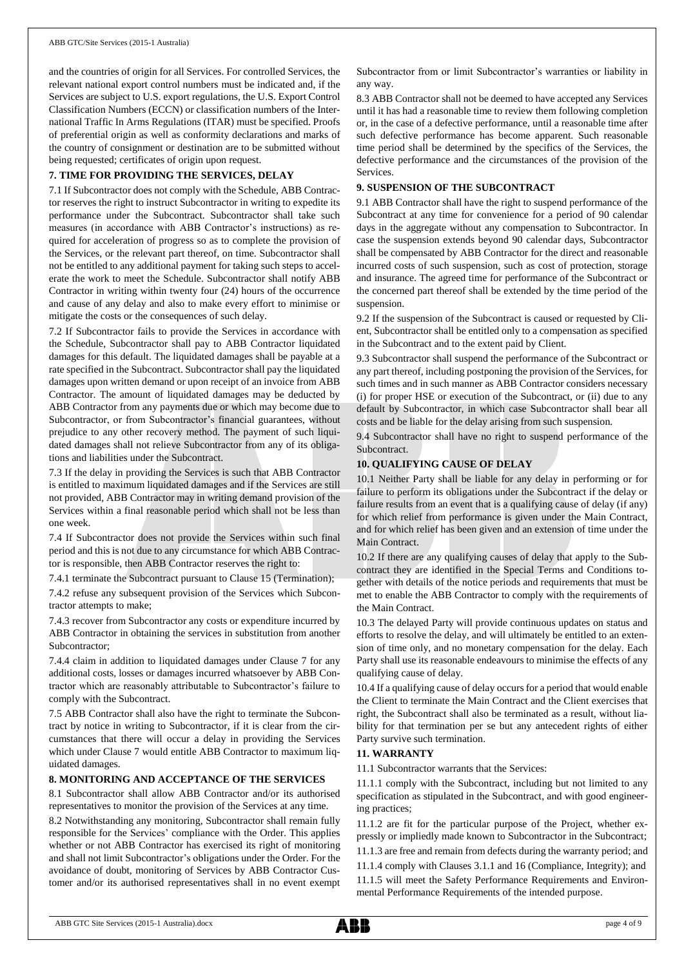and the countries of origin for all Services. For controlled Services, the relevant national export control numbers must be indicated and, if the Services are subject to U.S. export regulations, the U.S. Export Control Classification Numbers (ECCN) or classification numbers of the International Traffic In Arms Regulations (ITAR) must be specified. Proofs of preferential origin as well as conformity declarations and marks of the country of consignment or destination are to be submitted without being requested; certificates of origin upon request.

## **7. TIME FOR PROVIDING THE SERVICES, DELAY**

7.1 If Subcontractor does not comply with the Schedule, ABB Contractor reserves the right to instruct Subcontractor in writing to expedite its performance under the Subcontract. Subcontractor shall take such measures (in accordance with ABB Contractor's instructions) as required for acceleration of progress so as to complete the provision of the Services, or the relevant part thereof, on time. Subcontractor shall not be entitled to any additional payment for taking such steps to accelerate the work to meet the Schedule. Subcontractor shall notify ABB Contractor in writing within twenty four (24) hours of the occurrence and cause of any delay and also to make every effort to minimise or mitigate the costs or the consequences of such delay.

7.2 If Subcontractor fails to provide the Services in accordance with the Schedule, Subcontractor shall pay to ABB Contractor liquidated damages for this default. The liquidated damages shall be payable at a rate specified in the Subcontract. Subcontractor shall pay the liquidated damages upon written demand or upon receipt of an invoice from ABB Contractor. The amount of liquidated damages may be deducted by ABB Contractor from any payments due or which may become due to Subcontractor, or from Subcontractor's financial guarantees, without prejudice to any other recovery method. The payment of such liquidated damages shall not relieve Subcontractor from any of its obligations and liabilities under the Subcontract.

7.3 If the delay in providing the Services is such that ABB Contractor is entitled to maximum liquidated damages and if the Services are still not provided, ABB Contractor may in writing demand provision of the Services within a final reasonable period which shall not be less than one week.

7.4 If Subcontractor does not provide the Services within such final period and this is not due to any circumstance for which ABB Contractor is responsible, then ABB Contractor reserves the right to:

7.4.1 terminate the Subcontract pursuant to Clause 15 (Termination);

7.4.2 refuse any subsequent provision of the Services which Subcontractor attempts to make;

7.4.3 recover from Subcontractor any costs or expenditure incurred by ABB Contractor in obtaining the services in substitution from another Subcontractor;

7.4.4 claim in addition to liquidated damages under Clause 7 for any additional costs, losses or damages incurred whatsoever by ABB Contractor which are reasonably attributable to Subcontractor's failure to comply with the Subcontract.

7.5 ABB Contractor shall also have the right to terminate the Subcontract by notice in writing to Subcontractor, if it is clear from the circumstances that there will occur a delay in providing the Services which under Clause 7 would entitle ABB Contractor to maximum liquidated damages.

## **8. MONITORING AND ACCEPTANCE OF THE SERVICES**

8.1 Subcontractor shall allow ABB Contractor and/or its authorised representatives to monitor the provision of the Services at any time.

8.2 Notwithstanding any monitoring, Subcontractor shall remain fully responsible for the Services' compliance with the Order. This applies whether or not ABB Contractor has exercised its right of monitoring and shall not limit Subcontractor's obligations under the Order. For the avoidance of doubt, monitoring of Services by ABB Contractor Customer and/or its authorised representatives shall in no event exempt Subcontractor from or limit Subcontractor's warranties or liability in any way.

8.3 ABB Contractor shall not be deemed to have accepted any Services until it has had a reasonable time to review them following completion or, in the case of a defective performance, until a reasonable time after such defective performance has become apparent. Such reasonable time period shall be determined by the specifics of the Services, the defective performance and the circumstances of the provision of the Services.

## **9. SUSPENSION OF THE SUBCONTRACT**

9.1 ABB Contractor shall have the right to suspend performance of the Subcontract at any time for convenience for a period of 90 calendar days in the aggregate without any compensation to Subcontractor. In case the suspension extends beyond 90 calendar days, Subcontractor shall be compensated by ABB Contractor for the direct and reasonable incurred costs of such suspension, such as cost of protection, storage and insurance. The agreed time for performance of the Subcontract or the concerned part thereof shall be extended by the time period of the suspension.

9.2 If the suspension of the Subcontract is caused or requested by Client, Subcontractor shall be entitled only to a compensation as specified in the Subcontract and to the extent paid by Client.

9.3 Subcontractor shall suspend the performance of the Subcontract or any part thereof, including postponing the provision of the Services, for such times and in such manner as ABB Contractor considers necessary (i) for proper HSE or execution of the Subcontract, or (ii) due to any default by Subcontractor, in which case Subcontractor shall bear all costs and be liable for the delay arising from such suspension.

9.4 Subcontractor shall have no right to suspend performance of the Subcontract.

## **10. QUALIFYING CAUSE OF DELAY**

10.1 Neither Party shall be liable for any delay in performing or for failure to perform its obligations under the Subcontract if the delay or failure results from an event that is a qualifying cause of delay (if any) for which relief from performance is given under the Main Contract, and for which relief has been given and an extension of time under the Main Contract.

10.2 If there are any qualifying causes of delay that apply to the Subcontract they are identified in the Special Terms and Conditions together with details of the notice periods and requirements that must be met to enable the ABB Contractor to comply with the requirements of the Main Contract.

10.3 The delayed Party will provide continuous updates on status and efforts to resolve the delay, and will ultimately be entitled to an extension of time only, and no monetary compensation for the delay. Each Party shall use its reasonable endeavours to minimise the effects of any qualifying cause of delay.

10.4 If a qualifying cause of delay occurs for a period that would enable the Client to terminate the Main Contract and the Client exercises that right, the Subcontract shall also be terminated as a result, without liability for that termination per se but any antecedent rights of either Party survive such termination.

## **11. WARRANTY**

11.1 Subcontractor warrants that the Services:

11.1.1 comply with the Subcontract, including but not limited to any specification as stipulated in the Subcontract, and with good engineering practices;

11.1.2 are fit for the particular purpose of the Project, whether expressly or impliedly made known to Subcontractor in the Subcontract; 11.1.3 are free and remain from defects during the warranty period; and

11.1.4 comply with Clauses 3.1.1 and 16 (Compliance, Integrity); and 11.1.5 will meet the Safety Performance Requirements and Environmental Performance Requirements of the intended purpose.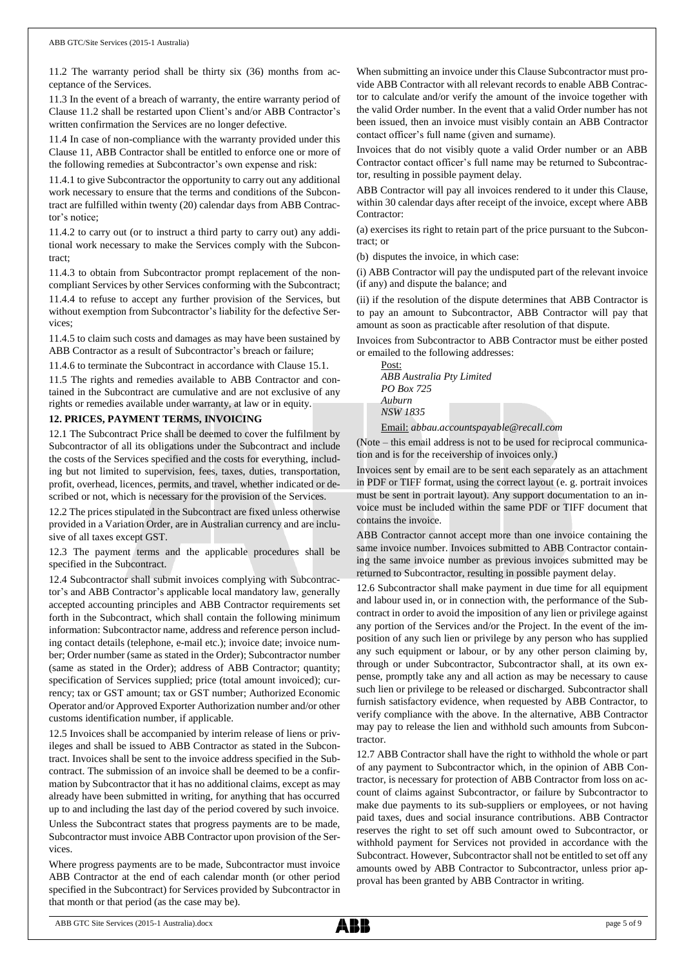11.2 The warranty period shall be thirty six (36) months from acceptance of the Services.

11.3 In the event of a breach of warranty, the entire warranty period of Clause 11.2 shall be restarted upon Client's and/or ABB Contractor's written confirmation the Services are no longer defective.

11.4 In case of non-compliance with the warranty provided under this Clause 11, ABB Contractor shall be entitled to enforce one or more of the following remedies at Subcontractor's own expense and risk:

11.4.1 to give Subcontractor the opportunity to carry out any additional work necessary to ensure that the terms and conditions of the Subcontract are fulfilled within twenty (20) calendar days from ABB Contractor's notice;

11.4.2 to carry out (or to instruct a third party to carry out) any additional work necessary to make the Services comply with the Subcontract;

11.4.3 to obtain from Subcontractor prompt replacement of the noncompliant Services by other Services conforming with the Subcontract;

11.4.4 to refuse to accept any further provision of the Services, but without exemption from Subcontractor's liability for the defective Services;

11.4.5 to claim such costs and damages as may have been sustained by ABB Contractor as a result of Subcontractor's breach or failure;

11.4.6 to terminate the Subcontract in accordance with Clause 15.1.

11.5 The rights and remedies available to ABB Contractor and contained in the Subcontract are cumulative and are not exclusive of any rights or remedies available under warranty, at law or in equity.

# **12. PRICES, PAYMENT TERMS, INVOICING**

12.1 The Subcontract Price shall be deemed to cover the fulfilment by Subcontractor of all its obligations under the Subcontract and include the costs of the Services specified and the costs for everything, including but not limited to supervision, fees, taxes, duties, transportation, profit, overhead, licences, permits, and travel, whether indicated or described or not, which is necessary for the provision of the Services.

12.2 The prices stipulated in the Subcontract are fixed unless otherwise provided in a Variation Order, are in Australian currency and are inclusive of all taxes except GST.

12.3 The payment terms and the applicable procedures shall be specified in the Subcontract.

12.4 Subcontractor shall submit invoices complying with Subcontractor's and ABB Contractor's applicable local mandatory law, generally accepted accounting principles and ABB Contractor requirements set forth in the Subcontract, which shall contain the following minimum information: Subcontractor name, address and reference person including contact details (telephone, e-mail etc.); invoice date; invoice number; Order number (same as stated in the Order); Subcontractor number (same as stated in the Order); address of ABB Contractor; quantity; specification of Services supplied; price (total amount invoiced); currency; tax or GST amount; tax or GST number; Authorized Economic Operator and/or Approved Exporter Authorization number and/or other customs identification number, if applicable.

12.5 Invoices shall be accompanied by interim release of liens or privileges and shall be issued to ABB Contractor as stated in the Subcontract. Invoices shall be sent to the invoice address specified in the Subcontract. The submission of an invoice shall be deemed to be a confirmation by Subcontractor that it has no additional claims, except as may already have been submitted in writing, for anything that has occurred up to and including the last day of the period covered by such invoice. Unless the Subcontract states that progress payments are to be made, Subcontractor must invoice ABB Contractor upon provision of the Services.

Where progress payments are to be made, Subcontractor must invoice ABB Contractor at the end of each calendar month (or other period specified in the Subcontract) for Services provided by Subcontractor in that month or that period (as the case may be).

When submitting an invoice under this Clause Subcontractor must provide ABB Contractor with all relevant records to enable ABB Contractor to calculate and/or verify the amount of the invoice together with the valid Order number. In the event that a valid Order number has not been issued, then an invoice must visibly contain an ABB Contractor contact officer's full name (given and surname).

Invoices that do not visibly quote a valid Order number or an ABB Contractor contact officer's full name may be returned to Subcontractor, resulting in possible payment delay.

ABB Contractor will pay all invoices rendered to it under this Clause, within 30 calendar days after receipt of the invoice, except where ABB Contractor:

(a) exercises its right to retain part of the price pursuant to the Subcontract; or

(b) disputes the invoice, in which case:

(i) ABB Contractor will pay the undisputed part of the relevant invoice (if any) and dispute the balance; and

(ii) if the resolution of the dispute determines that ABB Contractor is to pay an amount to Subcontractor, ABB Contractor will pay that amount as soon as practicable after resolution of that dispute.

Invoices from Subcontractor to ABB Contractor must be either posted or emailed to the following addresses:

Post: *ABB Australia Pty Limited PO Box 725 Auburn NSW 1835*

Email: *[abbau.accountspayable@recall.com](mailto:abbau.accountspayable@recall.com)*

(Note – this email address is not to be used for reciprocal communication and is for the receivership of invoices only.)

Invoices sent by email are to be sent each separately as an attachment in PDF or TIFF format, using the correct layout (e. g. portrait invoices must be sent in portrait layout). Any support documentation to an invoice must be included within the same PDF or TIFF document that contains the invoice.

ABB Contractor cannot accept more than one invoice containing the same invoice number. Invoices submitted to ABB Contractor containing the same invoice number as previous invoices submitted may be returned to Subcontractor, resulting in possible payment delay.

12.6 Subcontractor shall make payment in due time for all equipment and labour used in, or in connection with, the performance of the Subcontract in order to avoid the imposition of any lien or privilege against any portion of the Services and/or the Project. In the event of the imposition of any such lien or privilege by any person who has supplied any such equipment or labour, or by any other person claiming by, through or under Subcontractor, Subcontractor shall, at its own expense, promptly take any and all action as may be necessary to cause such lien or privilege to be released or discharged. Subcontractor shall furnish satisfactory evidence, when requested by ABB Contractor, to verify compliance with the above. In the alternative, ABB Contractor may pay to release the lien and withhold such amounts from Subcontractor.

12.7 ABB Contractor shall have the right to withhold the whole or part of any payment to Subcontractor which, in the opinion of ABB Contractor, is necessary for protection of ABB Contractor from loss on account of claims against Subcontractor, or failure by Subcontractor to make due payments to its sub-suppliers or employees, or not having paid taxes, dues and social insurance contributions. ABB Contractor reserves the right to set off such amount owed to Subcontractor, or withhold payment for Services not provided in accordance with the Subcontract. However, Subcontractor shall not be entitled to set off any amounts owed by ABB Contractor to Subcontractor, unless prior approval has been granted by ABB Contractor in writing.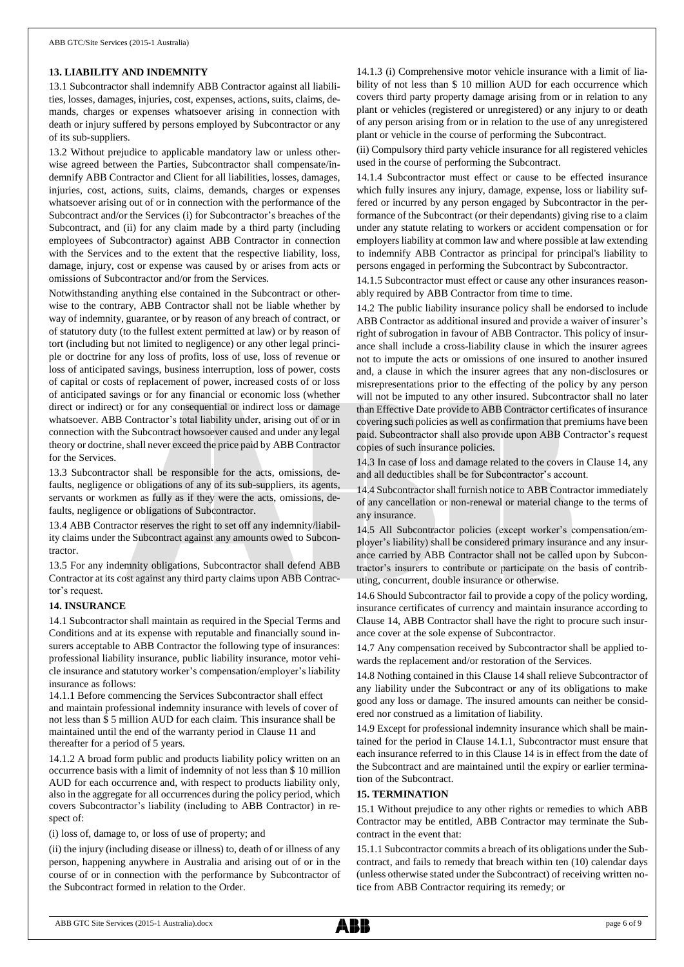## **13. LIABILITY AND INDEMNITY**

13.1 Subcontractor shall indemnify ABB Contractor against all liabilities, losses, damages, injuries, cost, expenses, actions, suits, claims, demands, charges or expenses whatsoever arising in connection with death or injury suffered by persons employed by Subcontractor or any of its sub-suppliers.

13.2 Without prejudice to applicable mandatory law or unless otherwise agreed between the Parties, Subcontractor shall compensate/indemnify ABB Contractor and Client for all liabilities, losses, damages, injuries, cost, actions, suits, claims, demands, charges or expenses whatsoever arising out of or in connection with the performance of the Subcontract and/or the Services (i) for Subcontractor's breaches of the Subcontract, and (ii) for any claim made by a third party (including employees of Subcontractor) against ABB Contractor in connection with the Services and to the extent that the respective liability, loss, damage, injury, cost or expense was caused by or arises from acts or omissions of Subcontractor and/or from the Services.

Notwithstanding anything else contained in the Subcontract or otherwise to the contrary, ABB Contractor shall not be liable whether by way of indemnity, guarantee, or by reason of any breach of contract, or of statutory duty (to the fullest extent permitted at law) or by reason of tort (including but not limited to negligence) or any other legal principle or doctrine for any loss of profits, loss of use, loss of revenue or loss of anticipated savings, business interruption, loss of power, costs of capital or costs of replacement of power, increased costs of or loss of anticipated savings or for any financial or economic loss (whether direct or indirect) or for any consequential or indirect loss or damage whatsoever. ABB Contractor's total liability under, arising out of or in connection with the Subcontract howsoever caused and under any legal theory or doctrine, shall never exceed the price paid by ABB Contractor for the Services.

13.3 Subcontractor shall be responsible for the acts, omissions, defaults, negligence or obligations of any of its sub-suppliers, its agents, servants or workmen as fully as if they were the acts, omissions, defaults, negligence or obligations of Subcontractor.

13.4 ABB Contractor reserves the right to set off any indemnity/liability claims under the Subcontract against any amounts owed to Subcontractor.

13.5 For any indemnity obligations, Subcontractor shall defend ABB Contractor at its cost against any third party claims upon ABB Contractor's request.

#### **14. INSURANCE**

14.1 Subcontractor shall maintain as required in the Special Terms and Conditions and at its expense with reputable and financially sound insurers acceptable to ABB Contractor the following type of insurances: professional liability insurance, public liability insurance, motor vehicle insurance and statutory worker's compensation/employer's liability insurance as follows:

14.1.1 Before commencing the Services Subcontractor shall effect and maintain professional indemnity insurance with levels of cover of not less than \$ 5 million AUD for each claim. This insurance shall be maintained until the end of the warranty period in Clause 11 and thereafter for a period of 5 years.

14.1.2 A broad form public and products liability policy written on an occurrence basis with a limit of indemnity of not less than \$ 10 million AUD for each occurrence and, with respect to products liability only, also in the aggregate for all occurrences during the policy period, which covers Subcontractor's liability (including to ABB Contractor) in respect of:

(i) loss of, damage to, or loss of use of property; and

(ii) the injury (including disease or illness) to, death of or illness of any person, happening anywhere in Australia and arising out of or in the course of or in connection with the performance by Subcontractor of the Subcontract formed in relation to the Order.

14.1.3 (i) Comprehensive motor vehicle insurance with a limit of liability of not less than \$ 10 million AUD for each occurrence which covers third party property damage arising from or in relation to any plant or vehicles (registered or unregistered) or any injury to or death of any person arising from or in relation to the use of any unregistered plant or vehicle in the course of performing the Subcontract.

(ii) Compulsory third party vehicle insurance for all registered vehicles used in the course of performing the Subcontract.

14.1.4 Subcontractor must effect or cause to be effected insurance which fully insures any injury, damage, expense, loss or liability suffered or incurred by any person engaged by Subcontractor in the performance of the Subcontract (or their dependants) giving rise to a claim under any statute relating to workers or accident compensation or for employers liability at common law and where possible at law extending to indemnify ABB Contractor as principal for principal's liability to persons engaged in performing the Subcontract by Subcontractor.

14.1.5 Subcontractor must effect or cause any other insurances reasonably required by ABB Contractor from time to time.

14.2 The public liability insurance policy shall be endorsed to include ABB Contractor as additional insured and provide a waiver of insurer's right of subrogation in favour of ABB Contractor. This policy of insurance shall include a cross-liability clause in which the insurer agrees not to impute the acts or omissions of one insured to another insured and, a clause in which the insurer agrees that any non-disclosures or misrepresentations prior to the effecting of the policy by any person will not be imputed to any other insured. Subcontractor shall no later than Effective Date provide to ABB Contractor certificates of insurance covering such policies as well as confirmation that premiums have been paid. Subcontractor shall also provide upon ABB Contractor's request copies of such insurance policies.

14.3 In case of loss and damage related to the covers in Clause 14, any and all deductibles shall be for Subcontractor's account.

14.4 Subcontractor shall furnish notice to ABB Contractor immediately of any cancellation or non-renewal or material change to the terms of any insurance.

14.5 All Subcontractor policies (except worker's compensation/employer's liability) shall be considered primary insurance and any insurance carried by ABB Contractor shall not be called upon by Subcontractor's insurers to contribute or participate on the basis of contributing, concurrent, double insurance or otherwise.

14.6 Should Subcontractor fail to provide a copy of the policy wording, insurance certificates of currency and maintain insurance according to Clause 14, ABB Contractor shall have the right to procure such insurance cover at the sole expense of Subcontractor.

14.7 Any compensation received by Subcontractor shall be applied towards the replacement and/or restoration of the Services.

14.8 Nothing contained in this Clause 14 shall relieve Subcontractor of any liability under the Subcontract or any of its obligations to make good any loss or damage. The insured amounts can neither be considered nor construed as a limitation of liability.

14.9 Except for professional indemnity insurance which shall be maintained for the period in Clause 14.1.1, Subcontractor must ensure that each insurance referred to in this Clause 14 is in effect from the date of the Subcontract and are maintained until the expiry or earlier termination of the Subcontract.

#### **15. TERMINATION**

15.1 Without prejudice to any other rights or remedies to which ABB Contractor may be entitled, ABB Contractor may terminate the Subcontract in the event that:

15.1.1 Subcontractor commits a breach of its obligations under the Subcontract, and fails to remedy that breach within ten (10) calendar days (unless otherwise stated under the Subcontract) of receiving written notice from ABB Contractor requiring its remedy; or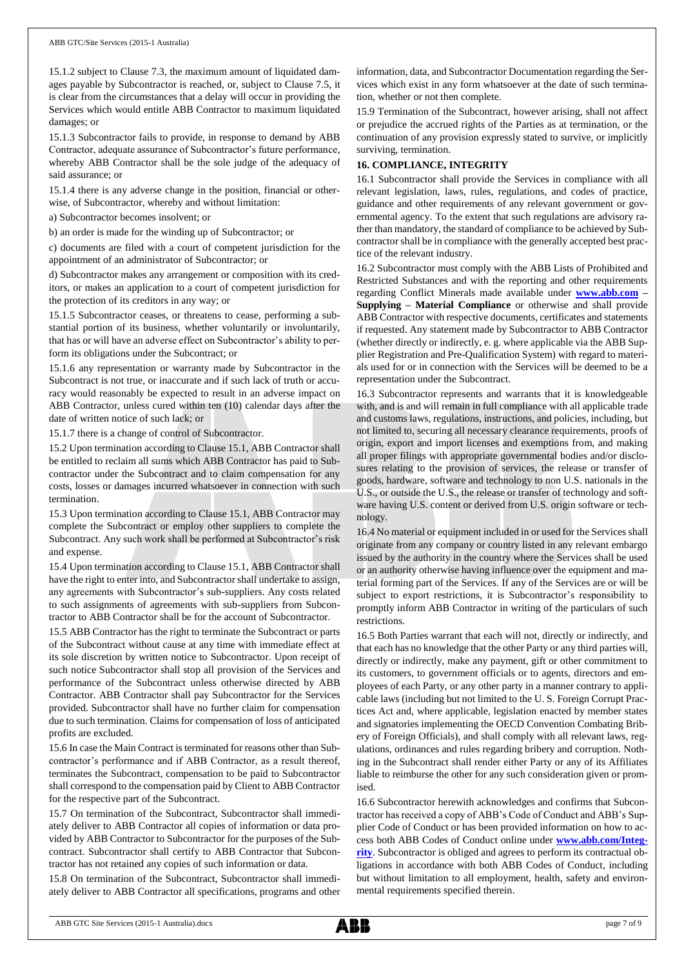15.1.2 subject to Clause 7.3, the maximum amount of liquidated damages payable by Subcontractor is reached, or, subject to Clause 7.5, it is clear from the circumstances that a delay will occur in providing the Services which would entitle ABB Contractor to maximum liquidated damages; or

15.1.3 Subcontractor fails to provide, in response to demand by ABB Contractor, adequate assurance of Subcontractor's future performance, whereby ABB Contractor shall be the sole judge of the adequacy of said assurance; or

15.1.4 there is any adverse change in the position, financial or otherwise, of Subcontractor, whereby and without limitation:

a) Subcontractor becomes insolvent; or

b) an order is made for the winding up of Subcontractor; or

c) documents are filed with a court of competent jurisdiction for the appointment of an administrator of Subcontractor; or

d) Subcontractor makes any arrangement or composition with its creditors, or makes an application to a court of competent jurisdiction for the protection of its creditors in any way; or

15.1.5 Subcontractor ceases, or threatens to cease, performing a substantial portion of its business, whether voluntarily or involuntarily, that has or will have an adverse effect on Subcontractor's ability to perform its obligations under the Subcontract; or

15.1.6 any representation or warranty made by Subcontractor in the Subcontract is not true, or inaccurate and if such lack of truth or accuracy would reasonably be expected to result in an adverse impact on ABB Contractor, unless cured within ten (10) calendar days after the date of written notice of such lack; or

15.1.7 there is a change of control of Subcontractor.

15.2 Upon termination according to Clause 15.1, ABB Contractor shall be entitled to reclaim all sums which ABB Contractor has paid to Subcontractor under the Subcontract and to claim compensation for any costs, losses or damages incurred whatsoever in connection with such termination.

15.3 Upon termination according to Clause 15.1, ABB Contractor may complete the Subcontract or employ other suppliers to complete the Subcontract. Any such work shall be performed at Subcontractor's risk and expense.

15.4 Upon termination according to Clause 15.1, ABB Contractor shall have the right to enter into, and Subcontractor shall undertake to assign, any agreements with Subcontractor's sub-suppliers. Any costs related to such assignments of agreements with sub-suppliers from Subcontractor to ABB Contractor shall be for the account of Subcontractor.

15.5 ABB Contractor has the right to terminate the Subcontract or parts of the Subcontract without cause at any time with immediate effect at its sole discretion by written notice to Subcontractor. Upon receipt of such notice Subcontractor shall stop all provision of the Services and performance of the Subcontract unless otherwise directed by ABB Contractor. ABB Contractor shall pay Subcontractor for the Services provided. Subcontractor shall have no further claim for compensation due to such termination. Claims for compensation of loss of anticipated profits are excluded.

15.6 In case the Main Contract is terminated for reasons other than Subcontractor's performance and if ABB Contractor, as a result thereof, terminates the Subcontract, compensation to be paid to Subcontractor shall correspond to the compensation paid by Client to ABB Contractor for the respective part of the Subcontract.

15.7 On termination of the Subcontract, Subcontractor shall immediately deliver to ABB Contractor all copies of information or data provided by ABB Contractor to Subcontractor for the purposes of the Subcontract. Subcontractor shall certify to ABB Contractor that Subcontractor has not retained any copies of such information or data.

15.8 On termination of the Subcontract, Subcontractor shall immediately deliver to ABB Contractor all specifications, programs and other information, data, and Subcontractor Documentation regarding the Services which exist in any form whatsoever at the date of such termination, whether or not then complete.

15.9 Termination of the Subcontract, however arising, shall not affect or prejudice the accrued rights of the Parties as at termination, or the continuation of any provision expressly stated to survive, or implicitly surviving, termination.

# **16. COMPLIANCE, INTEGRITY**

16.1 Subcontractor shall provide the Services in compliance with all relevant legislation, laws, rules, regulations, and codes of practice, guidance and other requirements of any relevant government or governmental agency. To the extent that such regulations are advisory rather than mandatory, the standard of compliance to be achieved by Subcontractor shall be in compliance with the generally accepted best practice of the relevant industry.

16.2 Subcontractor must comply with the ABB Lists of Prohibited and Restricted Substances and with the reporting and other requirements regarding Conflict Minerals made available under **[www.abb.com](http://www.abb.com/) – Supplying – Material Compliance** or otherwise and shall provide ABB Contractor with respective documents, certificates and statements if requested. Any statement made by Subcontractor to ABB Contractor (whether directly or indirectly, e. g. where applicable via the ABB Supplier Registration and Pre-Qualification System) with regard to materials used for or in connection with the Services will be deemed to be a representation under the Subcontract.

16.3 Subcontractor represents and warrants that it is knowledgeable with, and is and will remain in full compliance with all applicable trade and customs laws, regulations, instructions, and policies, including, but not limited to, securing all necessary clearance requirements, proofs of origin, export and import licenses and exemptions from, and making all proper filings with appropriate governmental bodies and/or disclosures relating to the provision of services, the release or transfer of goods, hardware, software and technology to non U.S. nationals in the U.S., or outside the U.S., the release or transfer of technology and software having U.S. content or derived from U.S. origin software or technology.

16.4 No material or equipment included in or used for the Services shall originate from any company or country listed in any relevant embargo issued by the authority in the country where the Services shall be used or an authority otherwise having influence over the equipment and material forming part of the Services. If any of the Services are or will be subject to export restrictions, it is Subcontractor's responsibility to promptly inform ABB Contractor in writing of the particulars of such restrictions.

16.5 Both Parties warrant that each will not, directly or indirectly, and that each has no knowledge that the other Party or any third parties will, directly or indirectly, make any payment, gift or other commitment to its customers, to government officials or to agents, directors and employees of each Party, or any other party in a manner contrary to applicable laws (including but not limited to the U. S. Foreign Corrupt Practices Act and, where applicable, legislation enacted by member states and signatories implementing the OECD Convention Combating Bribery of Foreign Officials), and shall comply with all relevant laws, regulations, ordinances and rules regarding bribery and corruption. Nothing in the Subcontract shall render either Party or any of its Affiliates liable to reimburse the other for any such consideration given or promised.

16.6 Subcontractor herewith acknowledges and confirms that Subcontractor has received a copy of ABB's Code of Conduct and ABB's Supplier Code of Conduct or has been provided information on how to access both ABB Codes of Conduct online under **[www.abb.com/Integ](http://www.abb.com/Integrity)[rity](http://www.abb.com/Integrity)**. Subcontractor is obliged and agrees to perform its contractual obligations in accordance with both ABB Codes of Conduct, including but without limitation to all employment, health, safety and environmental requirements specified therein.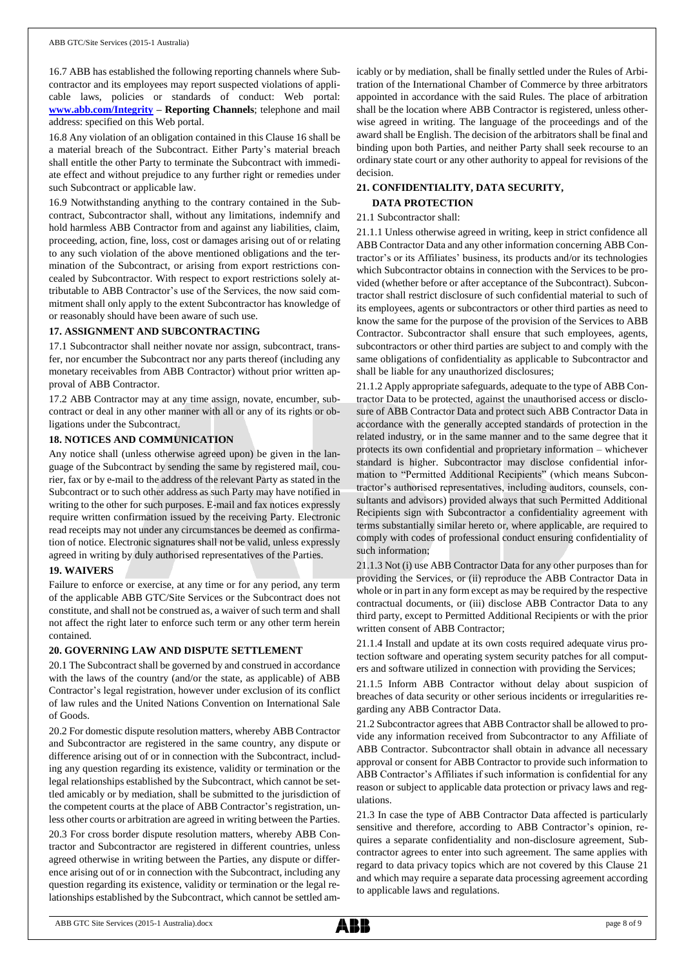16.7 ABB has established the following reporting channels where Subcontractor and its employees may report suspected violations of applicable laws, policies or standards of conduct: Web portal: **[www.abb.com/Integrity](http://www.abb.com/Integrity) – Reporting Channels**; telephone and mail address: specified on this Web portal.

16.8 Any violation of an obligation contained in this Clause 16 shall be a material breach of the Subcontract. Either Party's material breach shall entitle the other Party to terminate the Subcontract with immediate effect and without prejudice to any further right or remedies under such Subcontract or applicable law.

16.9 Notwithstanding anything to the contrary contained in the Subcontract, Subcontractor shall, without any limitations, indemnify and hold harmless ABB Contractor from and against any liabilities, claim, proceeding, action, fine, loss, cost or damages arising out of or relating to any such violation of the above mentioned obligations and the termination of the Subcontract, or arising from export restrictions concealed by Subcontractor. With respect to export restrictions solely attributable to ABB Contractor's use of the Services, the now said commitment shall only apply to the extent Subcontractor has knowledge of or reasonably should have been aware of such use.

## **17. ASSIGNMENT AND SUBCONTRACTING**

17.1 Subcontractor shall neither novate nor assign, subcontract, transfer, nor encumber the Subcontract nor any parts thereof (including any monetary receivables from ABB Contractor) without prior written approval of ABB Contractor.

17.2 ABB Contractor may at any time assign, novate, encumber, subcontract or deal in any other manner with all or any of its rights or obligations under the Subcontract.

#### **18. NOTICES AND COMMUNICATION**

Any notice shall (unless otherwise agreed upon) be given in the language of the Subcontract by sending the same by registered mail, courier, fax or by e-mail to the address of the relevant Party as stated in the Subcontract or to such other address as such Party may have notified in writing to the other for such purposes. E-mail and fax notices expressly require written confirmation issued by the receiving Party. Electronic read receipts may not under any circumstances be deemed as confirmation of notice. Electronic signatures shall not be valid, unless expressly agreed in writing by duly authorised representatives of the Parties.

## **19. WAIVERS**

Failure to enforce or exercise, at any time or for any period, any term of the applicable ABB GTC/Site Services or the Subcontract does not constitute, and shall not be construed as, a waiver of such term and shall not affect the right later to enforce such term or any other term herein contained.

## **20. GOVERNING LAW AND DISPUTE SETTLEMENT**

20.1 The Subcontract shall be governed by and construed in accordance with the laws of the country (and/or the state, as applicable) of ABB Contractor's legal registration, however under exclusion of its conflict of law rules and the United Nations Convention on International Sale of Goods.

20.2 For domestic dispute resolution matters, whereby ABB Contractor and Subcontractor are registered in the same country, any dispute or difference arising out of or in connection with the Subcontract, including any question regarding its existence, validity or termination or the legal relationships established by the Subcontract, which cannot be settled amicably or by mediation, shall be submitted to the jurisdiction of the competent courts at the place of ABB Contractor's registration, unless other courts or arbitration are agreed in writing between the Parties.

20.3 For cross border dispute resolution matters, whereby ABB Contractor and Subcontractor are registered in different countries, unless agreed otherwise in writing between the Parties, any dispute or difference arising out of or in connection with the Subcontract, including any question regarding its existence, validity or termination or the legal relationships established by the Subcontract, which cannot be settled amicably or by mediation, shall be finally settled under the Rules of Arbitration of the International Chamber of Commerce by three arbitrators appointed in accordance with the said Rules. The place of arbitration shall be the location where ABB Contractor is registered, unless otherwise agreed in writing. The language of the proceedings and of the award shall be English. The decision of the arbitrators shall be final and binding upon both Parties, and neither Party shall seek recourse to an ordinary state court or any other authority to appeal for revisions of the decision.

## **21. CONFIDENTIALITY, DATA SECURITY, DATA PROTECTION**

## 21.1 Subcontractor shall:

21.1.1 Unless otherwise agreed in writing, keep in strict confidence all ABB Contractor Data and any other information concerning ABB Contractor's or its Affiliates' business, its products and/or its technologies which Subcontractor obtains in connection with the Services to be provided (whether before or after acceptance of the Subcontract). Subcontractor shall restrict disclosure of such confidential material to such of its employees, agents or subcontractors or other third parties as need to know the same for the purpose of the provision of the Services to ABB Contractor. Subcontractor shall ensure that such employees, agents, subcontractors or other third parties are subject to and comply with the same obligations of confidentiality as applicable to Subcontractor and shall be liable for any unauthorized disclosures;

21.1.2 Apply appropriate safeguards, adequate to the type of ABB Contractor Data to be protected, against the unauthorised access or disclosure of ABB Contractor Data and protect such ABB Contractor Data in accordance with the generally accepted standards of protection in the related industry, or in the same manner and to the same degree that it protects its own confidential and proprietary information – whichever standard is higher. Subcontractor may disclose confidential information to "Permitted Additional Recipients" (which means Subcontractor's authorised representatives, including auditors, counsels, consultants and advisors) provided always that such Permitted Additional Recipients sign with Subcontractor a confidentiality agreement with terms substantially similar hereto or, where applicable, are required to comply with codes of professional conduct ensuring confidentiality of such information;

21.1.3 Not (i) use ABB Contractor Data for any other purposes than for providing the Services, or (ii) reproduce the ABB Contractor Data in whole or in part in any form except as may be required by the respective contractual documents, or (iii) disclose ABB Contractor Data to any third party, except to Permitted Additional Recipients or with the prior written consent of ABB Contractor;

21.1.4 Install and update at its own costs required adequate virus protection software and operating system security patches for all computers and software utilized in connection with providing the Services;

21.1.5 Inform ABB Contractor without delay about suspicion of breaches of data security or other serious incidents or irregularities regarding any ABB Contractor Data.

21.2 Subcontractor agrees that ABB Contractor shall be allowed to provide any information received from Subcontractor to any Affiliate of ABB Contractor. Subcontractor shall obtain in advance all necessary approval or consent for ABB Contractor to provide such information to ABB Contractor's Affiliates if such information is confidential for any reason or subject to applicable data protection or privacy laws and regulations.

21.3 In case the type of ABB Contractor Data affected is particularly sensitive and therefore, according to ABB Contractor's opinion, requires a separate confidentiality and non-disclosure agreement, Subcontractor agrees to enter into such agreement. The same applies with regard to data privacy topics which are not covered by this Clause 21 and which may require a separate data processing agreement according to applicable laws and regulations.